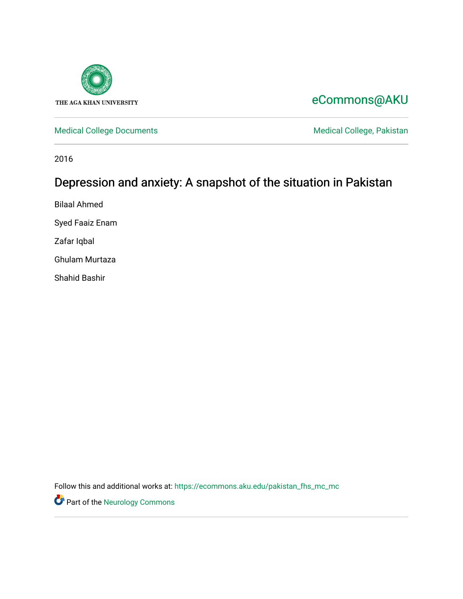

## [eCommons@AKU](https://ecommons.aku.edu/)

[Medical College Documents](https://ecommons.aku.edu/pakistan_fhs_mc_mc) **Medical College, Pakistan** 

2016

# Depression and anxiety: A snapshot of the situation in Pakistan

Bilaal Ahmed

Syed Faaiz Enam

Zafar Iqbal

Ghulam Murtaza

Shahid Bashir

Follow this and additional works at: [https://ecommons.aku.edu/pakistan\\_fhs\\_mc\\_mc](https://ecommons.aku.edu/pakistan_fhs_mc_mc?utm_source=ecommons.aku.edu%2Fpakistan_fhs_mc_mc%2F135&utm_medium=PDF&utm_campaign=PDFCoverPages) 

**Part of the [Neurology Commons](http://network.bepress.com/hgg/discipline/692?utm_source=ecommons.aku.edu%2Fpakistan_fhs_mc_mc%2F135&utm_medium=PDF&utm_campaign=PDFCoverPages)**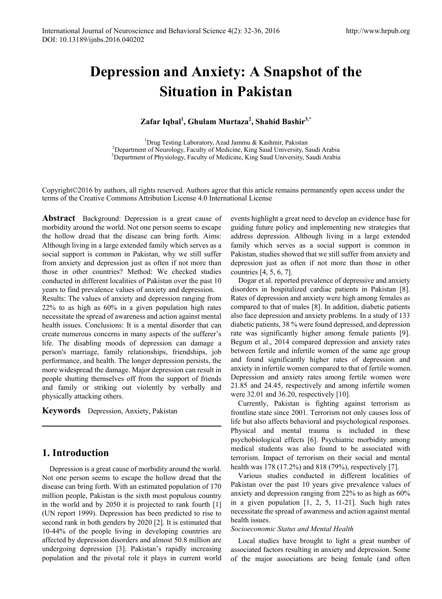# **Depression and Anxiety: A Snapshot of the Situation in Pakistan**

#### **Zafar Iqbal<sup>1</sup> , Ghulam Murtaza<sup>2</sup> , Shahid Bashir3,\***

<sup>1</sup>Drug Testing Laboratory, Azad Jammu & Kashmir, Pakistan<sup>2</sup><br>Penartment of Neurology, Faculty of Medicine, King Saud University, S <sup>2</sup>Department of Neurology, Faculty of Medicine, King Saud University, Saudi Arabia <sup>3</sup>Department of Physiology, Faculty of Medicine, King Saud University, Saudi Arabia

Copyright©2016 by authors, all rights reserved. Authors agree that this article remains permanently open access under the terms of the Creative Commons Attribution License 4.0 International License

**Abstract** Background: Depression is a great cause of morbidity around the world. Not one person seems to escape the hollow dread that the disease can bring forth. Aims: Although living in a large extended family which serves as a social support is common in Pakistan, why we still suffer from anxiety and depression just as often if not more than those in other countries? Method: We checked studies conducted in different localities of Pakistan over the past 10 years to find prevalence values of anxiety and depression.

Results: The values of anxiety and depression ranging from 22% to as high as 60% in a given population high rates necessitate the spread of awareness and action against mental health issues. Conclusions: It is a mental disorder that can create numerous concerns in many aspects of the sufferer's life. The disabling moods of depression can damage a person's marriage, family relationships, friendships, job performance, and health. The longer depression persists, the more widespread the damage. Major depression can result in people shutting themselves off from the support of friends and family or striking out violently by verbally and physically attacking others.

**Keywords** Depression, Anxiety, Pakistan

## **1. Introduction**

Depression is a great cause of morbidity around the world. Not one person seems to escape the hollow dread that the disease can bring forth. With an estimated population of 170 million people, Pakistan is the sixth most populous country in the world and by 2050 it is projected to rank fourth [1] (UN report 1999). Depression has been predicted to rise to second rank in both genders by 2020 [2]. It is estimated that 10-44% of the people living in developing countries are affected by depression disorders and almost 50.8 million are undergoing depression [3]. Pakistan's rapidly increasing population and the pivotal role it plays in current world events highlight a great need to develop an evidence base for guiding future policy and implementing new strategies that address depression. Although living in a large extended family which serves as a social support is common in Pakistan, studies showed that we still suffer from anxiety and depression just as often if not more than those in other countries [4, 5, 6, 7].

Dogar et al. reported prevalence of depressive and anxiety disorders in hospitalized cardiac patients in Pakistan [8]. Rates of depression and anxiety were high among females as compared to that of males [8]. In addition, diabetic patients also face depression and anxiety problems. In a study of 133 diabetic patients, 38 % were found depressed, and depression rate was significantly higher among female patients [9]. Begum et al., 2014 compared depression and anxiety rates between fertile and infertile women of the same age group and found significantly higher rates of depression and anxiety in infertile women compared to that of fertile women. Depression and anxiety rates among fertile women were 21.85 and 24.45, respectively and among infertile women were 32.01 and 36.20, respectively [10].

Currently, Pakistan is fighting against terrorism as frontline state since 2001. Terrorism not only causes loss of life but also affects behavioral and psychological responses. Physical and mental trauma is included in these psychobiological effects [6]. Psychiatric morbidity among medical students was also found to be associated with terrorism. Impact of terrorism on their social and mental health was 178 (17.2%) and 818 (79%), respectively [7].

Various studies conducted in different localities of Pakistan over the past 10 years give prevalence values of anxiety and depression ranging from 22% to as high as 60% in a given population [1, 2, 5, 11-21]. Such high rates necessitate the spread of awareness and action against mental health issues.

#### *Socioeconomic Status and Mental Health*

Local studies have brought to light a great number of associated factors resulting in anxiety and depression. Some of the major associations are being female (and often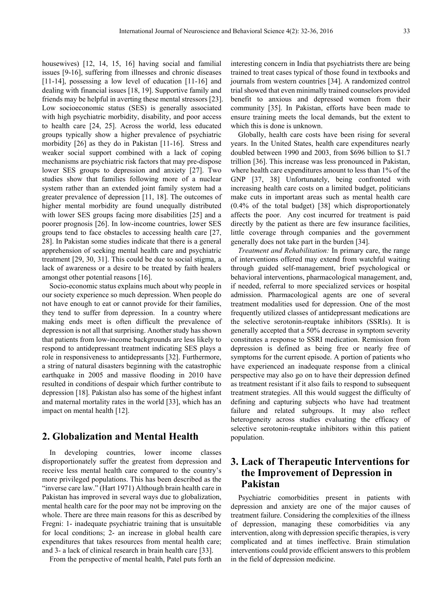housewives) [12, 14, 15, 16] having social and familial issues [9-16], suffering from illnesses and chronic diseases [11-14], possessing a low level of education [11-16] and dealing with financial issues [18, 19]. Supportive family and friends may be helpful in averting these mental stressors [23]. Low socioeconomic status (SES) is generally associated with high psychiatric morbidity, disability, and poor access to health care [24, 25]. Across the world, less educated groups typically show a higher prevalence of psychiatric morbidity [26] as they do in Pakistan [11-16]. Stress and weaker social support combined with a lack of coping mechanisms are psychiatric risk factors that may pre-dispose lower SES groups to depression and anxiety [27]. Two studies show that families following more of a nuclear system rather than an extended joint family system had a greater prevalence of depression [11, 18]. The outcomes of higher mental morbidity are found unequally distributed with lower SES groups facing more disabilities [25] and a poorer prognosis [26]. In low-income countries, lower SES groups tend to face obstacles to accessing health care [27, 28]. In Pakistan some studies indicate that there is a general apprehension of seeking mental health care and psychiatric treatment [29, 30, 31]. This could be due to social stigma, a lack of awareness or a desire to be treated by faith healers amongst other potential reasons [16].

Socio-economic status explains much about why people in our society experience so much depression. When people do not have enough to eat or cannot provide for their families, they tend to suffer from depression. In a country where making ends meet is often difficult the prevalence of depression is not all that surprising. Another study has shown that patients from low-income backgrounds are less likely to respond to antidepressant treatment indicating SES plays a role in responsiveness to antidepressants [32]. Furthermore, a string of natural disasters beginning with the catastrophic earthquake in 2005 and massive flooding in 2010 have resulted in conditions of despair which further contribute to depression [18]. Pakistan also has some of the highest infant and maternal mortality rates in the world [33], which has an impact on mental health [12].

#### **2. Globalization and Mental Health**

In developing countries, lower income classes disproportionately suffer the greatest from depression and receive less mental health care compared to the country's more privileged populations. This has been described as the "inverse care law." (Hart 1971) Although brain health care in Pakistan has improved in several ways due to globalization, mental health care for the poor may not be improving on the whole. There are three main reasons for this as described by Fregni: 1- inadequate psychiatric training that is unsuitable for local conditions; 2- an increase in global health care expenditures that takes resources from mental health care; and 3- a lack of clinical research in brain health care [33].

From the perspective of mental health, Patel puts forth an

interesting concern in India that psychiatrists there are being trained to treat cases typical of those found in textbooks and journals from western countries [34]. A randomized control trial showed that even minimally trained counselors provided benefit to anxious and depressed women from their community [35]. In Pakistan, efforts have been made to ensure training meets the local demands, but the extent to which this is done is unknown.

Globally, health care costs have been rising for several years. In the United States, health care expenditures nearly doubled between 1990 and 2003, from \$696 billion to \$1.7 trillion [36]. This increase was less pronounced in Pakistan, where health care expenditures amount to less than 1% of the GNP [37, 38] Unfortunately, being confronted with increasing health care costs on a limited budget, politicians make cuts in important areas such as mental health care (0.4% of the total budget) [38] which disproportionately affects the poor. Any cost incurred for treatment is paid directly by the patient as there are few insurance facilities, little coverage through companies and the government generally does not take part in the burden [34].

*Treatment and Rehabilitation:* In primary care, the range of interventions offered may extend from watchful waiting through guided self-management, brief psychological or behavioral interventions, pharmacological management, and, if needed, referral to more specialized services or hospital admission. Pharmacological agents are one of several treatment modalities used for depression. One of the most frequently utilized classes of antidepressant medications are the selective serotonin-reuptake inhibitors (SSRIs). It is generally accepted that a 50% decrease in symptom severity constitutes a response to SSRI medication. Remission from depression is defined as being free or nearly free of symptoms for the current episode. A portion of patients who have experienced an inadequate response from a clinical perspective may also go on to have their depression defined as treatment resistant if it also fails to respond to subsequent treatment strategies. All this would suggest the difficulty of defining and capturing subjects who have had treatment failure and related subgroups. It may also reflect heterogeneity across studies evaluating the efficacy of selective serotonin-reuptake inhibitors within this patient population.

### **3. Lack of Therapeutic Interventions for the Improvement of Depression in Pakistan**

Psychiatric comorbidities present in patients with depression and anxiety are one of the major causes of treatment failure. Considering the complexities of the illness of depression, managing these comorbidities via any intervention, along with depression specific therapies, is very complicated and at times ineffective. Brain stimulation interventions could provide efficient answers to this problem in the field of depression medicine.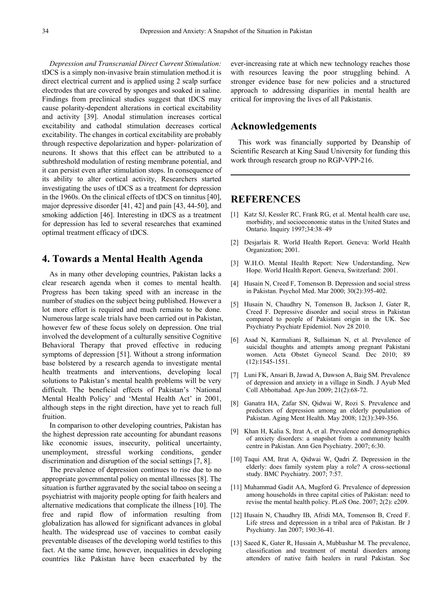*Depression and Transcranial Direct Current Stimulation:* tDCS is a simply non-invasive brain stimulation method.it is direct electrical current and is applied using 2 scalp surface electrodes that are covered by sponges and soaked in saline. Findings from preclinical studies suggest that tDCS may cause polarity-dependent alterations in cortical excitability and activity [39]. Anodal stimulation increases cortical excitability and cathodal stimulation decreases cortical excitability. The changes in cortical excitability are probably through respective depolarization and hyper- polarization of neurons. It shows that this effect can be attributed to a subthreshold modulation of resting membrane potential, and it can persist even after stimulation stops. In consequence of its ability to alter cortical activity, Researchers started investigating the uses of tDCS as a treatment for depression in the 1960s. On the clinical effects of tDCS on tinnitus [40], major depressive disorder [41, 42] and pain [43, 44-50], and smoking addiction [46]. Interesting in tDCS as a treatment for depression has led to several researches that examined optimal treatment efficacy of tDCS.

#### **4. Towards a Mental Health Agenda**

As in many other developing countries, Pakistan lacks a clear research agenda when it comes to mental health. Progress has been taking speed with an increase in the number of studies on the subject being published. However a lot more effort is required and much remains to be done. Numerous large scale trials have been carried out in Pakistan, however few of these focus solely on depression. One trial involved the development of a culturally sensitive Cognitive Behavioral Therapy that proved effective in reducing symptoms of depression [51]. Without a strong information base bolstered by a research agenda to investigate mental health treatments and interventions, developing local solutions to Pakistan's mental health problems will be very difficult. The beneficial effects of Pakistan's 'National Mental Health Policy' and 'Mental Health Act' in 2001, although steps in the right direction, have yet to reach full fruition.

In comparison to other developing countries, Pakistan has the highest depression rate accounting for abundant reasons like economic issues, insecurity, political uncertainty, unemployment, stressful working conditions, gender discrimination and disruption of the social settings [7, 8].

The prevalence of depression continues to rise due to no appropriate governmental policy on mental illnesses [8]. The situation is further aggravated by the social taboo on seeing a psychiatrist with majority people opting for faith healers and alternative medications that complicate the illness [10]. The free and rapid flow of information resulting from globalization has allowed for significant advances in global health. The widespread use of vaccines to combat easily preventable diseases of the developing world testifies to this fact. At the same time, however, inequalities in developing countries like Pakistan have been exacerbated by the

ever-increasing rate at which new technology reaches those with resources leaving the poor struggling behind. A stronger evidence base for new policies and a structured approach to addressing disparities in mental health are critical for improving the lives of all Pakistanis.

#### **Acknowledgements**

This work was financially supported by Deanship of Scientific Research at King Saud University for funding this work through research group no RGP-VPP-216.

#### **REFERENCES**

- [1] Katz SJ, Kessler RC, Frank RG, et al. Mental health care use, morbidity, and socioeconomic status in the United States and Ontario. Inquiry 1997;34:38–49
- [2] Desjarlais R. World Health Report. Geneva: World Health Organization; 2001.
- [3] W.H.O. Mental Health Report: New Understanding, New Hope. World Health Report. Geneva, Switzerland: 2001.
- [4] Husain N, Creed F, Tomenson B. Depression and social stress in Pakistan. Psychol Med. Mar 2000; 30(2):395-402.
- [5] Husain N, Chaudhry N, Tomenson B, Jackson J, Gater R, Creed F. Depressive disorder and social stress in Pakistan compared to people of Pakistani origin in the UK. Soc Psychiatry Psychiatr Epidemiol. Nov 28 2010.
- [6] Asad N, Karmaliani R, Sullaiman N, et al. Prevalence of suicidal thoughts and attempts among pregnant Pakistani women. Acta Obstet Gynecol Scand. Dec 2010; 89 (12):1545-1551.
- [7] Luni FK, Ansari B, Jawad A, Dawson A, Baig SM. Prevalence of depression and anxiety in a village in Sindh. J Ayub Med Coll Abbottabad. Apr-Jun 2009; 21(2):68-72.
- [8] Ganatra HA, Zafar SN, Qidwai W, Rozi S. Prevalence and predictors of depression among an elderly population of Pakistan. Aging Ment Health. May 2008; 12(3):349-356.
- [9] Khan H, Kalia S, Itrat A, et al. Prevalence and demographics of anxiety disorders: a snapshot from a community health centre in Pakistan. Ann Gen Psychiatry. 2007; 6:30.
- [10] Taqui AM, Itrat A, Qidwai W, Qadri Z. Depression in the elderly: does family system play a role? A cross-sectional study. BMC Psychiatry. 2007; 7:57.
- [11] Muhammad Gadit AA, Mugford G. Prevalence of depression among households in three capital cities of Pakistan: need to revise the mental health policy. PLoS One. 2007; 2(2): e209.
- [12] Husain N, Chaudhry IB, Afridi MA, Tomenson B, Creed F. Life stress and depression in a tribal area of Pakistan. Br J Psychiatry. Jan 2007; 190:36-41.
- [13] Saeed K, Gater R, Hussain A, Mubbashar M. The prevalence, classification and treatment of mental disorders among attenders of native faith healers in rural Pakistan. Soc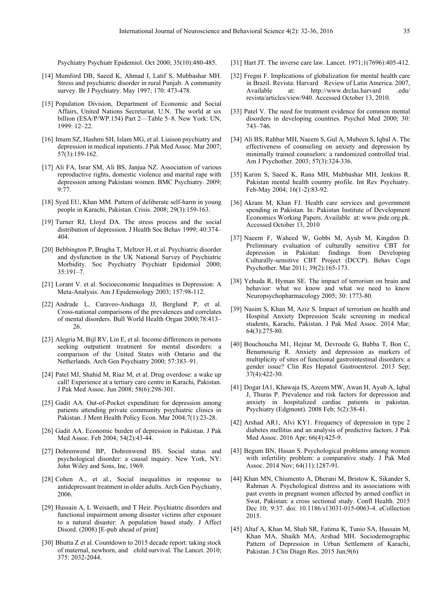Psychiatry Psychiatr Epidemiol. Oct 2000; 35(10):480-485.

- [14] Mumford DB, Saeed K, Ahmad I, Latif S, Mubbashar MH. Stress and psychiatric disorder in rural Punjab. A community survey. Br J Psychiatry. May 1997; 170: 473-478.
- [15] Population Division, Department of Economic and Social Affairs, United Nations Secretariat. U.N. The world at six billion (ESA/P/WP.154) Part 2—Table 5–8. New York: UN, 1999: 12–22.
- [16] Imam SZ, Hashmi SH, Islam MG, et al. Liaison psychiatry and depression in medical inpatients. J Pak Med Assoc. Mar 2007; 57(3):159-162.
- [17] Ali FA, Israr SM, Ali BS, Janjua NZ. Association of various reproductive rights, domestic violence and marital rape with depression among Pakistani women. BMC Psychiatry. 2009; 9:77.
- [18] Syed EU, Khan MM. Pattern of deliberate self-harm in young people in Karachi, Pakistan. Crisis. 2008; 29(3):159-163.
- [19] Turner RJ, Lloyd DA. The stress process and the social distribution of depression. J Health Soc Behav 1999; 40:374– 404.
- [20] Bebbington P, Brugha T, Meltzer H, et al. Psychiatric disorder and dysfunction in the UK National Survey of Psychiatric Morbidity. Soc Psychiatry Psychiatr Epidemiol 2000; 35:191–7.
- [21] Lorant V. et al. Socioeconomic Inequalities in Depression: A Meta-Analysis. Am J Epidemiology 2003; 157:98-112.
- [22] Andrade L, Caraveo-Anduaga JJ, Berglund P, et al. Cross-national comparisons of the prevalences and correlates of mental disorders. Bull World Health Organ 2000;78:413– 26.
- [23] Alegria M, Bijl RV, Lin E, et al. Income differences in persons seeking outpatient treatment for mental disorders: a comparison of the United States with Ontario and the Netherlands. Arch Gen Psychiatry 2000; 57:383–91.
- [24] Patel MJ, Shahid M, Riaz M, et al. Drug overdose: a wake up call! Experience at a tertiary care centre in Karachi, Pakistan. J Pak Med Assoc. Jun 2008; 58(6):298-301.
- [25] Gadit AA. Out-of-Pocket expenditure for depression among patients attending private community psychiatric clinics in Pakistan. J Ment Health Policy Econ. Mar 2004;7(1):23-28.
- [26] Gadit AA. Economic burden of depression in Pakistan. J Pak Med Assoc. Feb 2004; 54(2):43-44.
- [27] Dohrenwend BP, Dohrenwend BS. Social status and psychological disorder: a causal inquiry. New York, NY: John Wiley and Sons, Inc, 1969.
- [28] Cohen A., et al., Social inequalities in response to antidepressant treatment in older adults. Arch Gen Psychiatry, 2006.
- [29] Hussain A, L Weisaeth, and T Heir. Psychiatric disorders and functional impairment among disaster victims after exposure to a natural disaster: A population based study. J Affect Disord. (2008) [E-pub ahead of print]
- [30] Bhutta Z et al. Countdown to 2015 decade report: taking stock of maternal, newborn, and child survival. The Lancet. 2010; 375: 2032-2044.
- [31] Hart JT. The inverse care law. Lancet. 1971;1(7696):405-412.
- [32] Fregni F. Implications of globalization for mental health care in Brazil. Revista: Harvard Review of Latin America. 2007, Available at: http://www.drclas.harvard .edu/ revista/articles/view/940. Accessed October 13, 2010.
- [33] Patel V. The need for treatment evidence for common mental disorders in developing countries. Psychol Med 2000; 30: 743–746.
- [34] Ali BS, Rahbar MH, Naeem S, Gul A, Mubeen S, Iqbal A. The effectiveness of counseling on anxiety and depression by minimally trained counselors: a randomized controlled trial. Am J Psychother. 2003; 57(3):324-336.
- [35] Karim S, Saeed K, Rana MH, Mubbashar MH, Jenkins R. Pakistan mental health country profile. Int Rev Psychiatry. Feb-May 2004; 16(1-2):83-92.
- [36] Akram M, Khan FJ. Health care services and government spending in Pakistan. In: Pakistan Institute of Development Economics Working Papers. Available at: www.pide.org.pk. Accessed October 13, 2010
- [37] Naeem F, Waheed W, Gobbi M, Ayub M, Kingdon D. Preliminary evaluation of culturally sensitive CBT for depression in Pakistan: findings from Developing Culturally-sensitive CBT Project (DCCP). Behav Cogn Psychother. Mar 2011; 39(2):165-173.
- [38] Yehuda R, Hyman SE. The impact of terrorism on brain and behavior: what we know and what we need to know Neuropsychopharmacology 2005; 30: 1773-80.
- [39] Nasim S, Khan M, Aziz S. Impact of terrorism on health and Hospital Anxiety Depression Scale screening in medical students, Karachi, Pakistan. J Pak Med Assoc. 2014 Mar; 64(3):275-80.
- [40] Bouchoucha M1, Hejnar M, Devroede G, Babba T, Bon C, Benamouzig R. Anxiety and depression as markers of multiplicity of sites of functional gastrointestinal disorders: a gender issue? Clin Res Hepatol Gastroenterol. 2013 Sep; 37(4):422-30.
- [41] Dogar IA1, Khawaja IS, Azeem MW, Awan H, Ayub A, Iqbal J, Thuras P. Prevalence and risk factors for depression and anxiety in hospitalized cardiac patients in pakistan. Psychiatry (Edgmont). 2008 Feb; 5(2):38-41.
- [42] Arshad AR1, Alvi KY1. Frequency of depression in type 2 diabetes mellitus and an analysis of predictive factors. J Pak Med Assoc. 2016 Apr; 66(4):425-9.
- [43] Begum BN, Hasan S. Psychological problems among women with infertility problem: a comparative study. J Pak Med Assoc. 2014 Nov; 64(11):1287-91.
- [44] Khan MN, Chiumento A, Dherani M, Bristow K, Sikander S, Rahman A. Psychological distress and its associations with past events in pregnant women affected by armed conflict in Swat, Pakistan: a cross sectional study. Confl Health. 2015 Dec 10; 9:37. doi: 10.1186/s13031-015-0063-4. eCollection 2015.
- [45] Altaf A, Khan M, Shah SR, Fatima K, Tunio SA, Hussain M, Khan MA, Shaikh MA, Arshad MH. Sociodemographic Pattern of Depression in Urban Settlement of Karachi, Pakistan. J Clin Diagn Res. 2015 Jun;9(6)